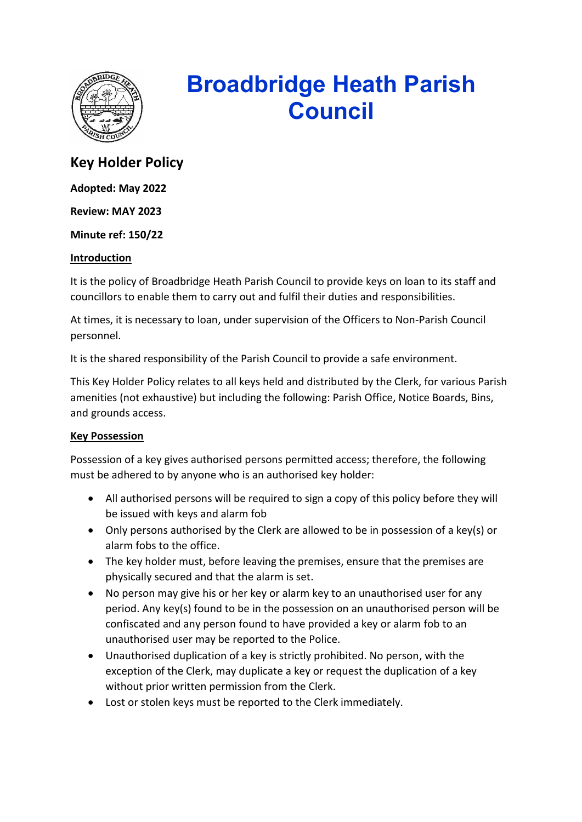

# **Broadbridge Heath Parish Council**

# **Key Holder Policy**

**Adopted: May 2022**

**Review: MAY 2023**

**Minute ref: 150/22**

#### **Introduction**

It is the policy of Broadbridge Heath Parish Council to provide keys on loan to its staff and councillors to enable them to carry out and fulfil their duties and responsibilities.

At times, it is necessary to loan, under supervision of the Officers to Non-Parish Council personnel.

It is the shared responsibility of the Parish Council to provide a safe environment.

This Key Holder Policy relates to all keys held and distributed by the Clerk, for various Parish amenities (not exhaustive) but including the following: Parish Office, Notice Boards, Bins, and grounds access.

## **Key Possession**

Possession of a key gives authorised persons permitted access; therefore, the following must be adhered to by anyone who is an authorised key holder:

- All authorised persons will be required to sign a copy of this policy before they will be issued with keys and alarm fob
- Only persons authorised by the Clerk are allowed to be in possession of a key(s) or alarm fobs to the office.
- The key holder must, before leaving the premises, ensure that the premises are physically secured and that the alarm is set.
- No person may give his or her key or alarm key to an unauthorised user for any period. Any key(s) found to be in the possession on an unauthorised person will be confiscated and any person found to have provided a key or alarm fob to an unauthorised user may be reported to the Police.
- Unauthorised duplication of a key is strictly prohibited. No person, with the exception of the Clerk, may duplicate a key or request the duplication of a key without prior written permission from the Clerk.
- Lost or stolen keys must be reported to the Clerk immediately.